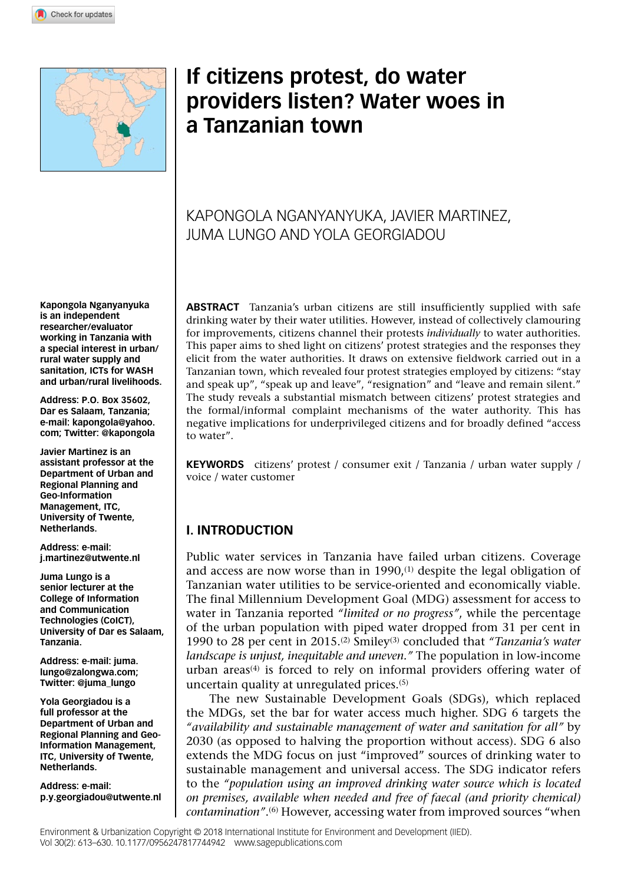**74[4942](http://crossmark.crossref.org/dialog/?doi=10.1177%2F0956247817744942&domain=pdf&date_stamp=2018-02-19)**EAU0010.1177/0956247817744942Environment & UrbanizationShort Title



#### **Kapongola Nganyanyuka is an independent researcher/evaluator working in Tanzania with a special interest in urban/ rural water supply and sanitation, ICTs for WASH and urban/rural livelihoods.**

**Address: P.O. Box 35602, Dar es Salaam, Tanzania; e-mail: [kapongola@yahoo.](mailto:kapongola@yahoo.com) [com;](mailto:kapongola@yahoo.com) Twitter: @kapongola**

**Javier Martinez is an assistant professor at the Department of Urban and Regional Planning and Geo-Information Management, ITC, University of Twente, Netherlands.**

**Address: e-mail: [j.martinez@utwente.nl](mailto:j.martinez@utwente.nl)**

**Juma Lungo is a senior lecturer at the College of Information and Communication Technologies (CoICT), University of Dar es Salaam, Tanzania.**

**Address: e-mail: [juma.](mailto:juma.lungo@zalongwa.com) [lungo@zalongwa.com](mailto:juma.lungo@zalongwa.com); Twitter: @juma\_lungo**

**Yola Georgiadou is a full professor at the Department of Urban and Regional Planning and Geo-Information Management, ITC, University of Twente, Netherlands.**

**Address: e-mail: [p.y.georgiadou@utwente.nl](mailto:p.y.georgiadou@utwente.nl)** 

# **If citizens protest, do water providers listen? Water woes in a Tanzanian town**

# Kapongola Nganyanyuka, Javier Martinez, Juma Lungo and Yola Georgiadou

**Abstract** Tanzania's urban citizens are still insufficiently supplied with safe drinking water by their water utilities. However, instead of collectively clamouring for improvements, citizens channel their protests *individually* to water authorities. This paper aims to shed light on citizens' protest strategies and the responses they elicit from the water authorities. It draws on extensive fieldwork carried out in a Tanzanian town, which revealed four protest strategies employed by citizens: "stay and speak up", "speak up and leave", "resignation" and "leave and remain silent." The study reveals a substantial mismatch between citizens' protest strategies and the formal/informal complaint mechanisms of the water authority. This has negative implications for underprivileged citizens and for broadly defined "access to water".

**Keywords** citizens' protest / consumer exit / Tanzania / urban water supply / voice / water customer

# **I. Introduction**

Public water services in Tanzania have failed urban citizens. Coverage and access are now worse than in 1990,<sup>(1)</sup> despite the legal obligation of Tanzanian water utilities to be service-oriented and economically viable. The final Millennium Development Goal (MDG) assessment for access to water in Tanzania reported *"limited or no progress"*, while the percentage of the urban population with piped water dropped from 31 per cent in 1990 to 28 per cent in 2015.(2) Smiley(3) concluded that *"Tanzania's water landscape is unjust, inequitable and uneven."* The population in low-income urban areas<sup>(4)</sup> is forced to rely on informal providers offering water of uncertain quality at unregulated prices.<sup>(5)</sup>

The new Sustainable Development Goals (SDGs), which replaced the MDGs, set the bar for water access much higher. SDG 6 targets the *"availability and sustainable management of water and sanitation for all"* by 2030 (as opposed to halving the proportion without access). SDG 6 also extends the MDG focus on just "improved" sources of drinking water to sustainable management and universal access. The SDG indicator refers to the *"population using an improved drinking water source which is located on premises, available when needed and free of faecal (and priority chemical) contamination"*.(6) However, accessing water from improved sources "when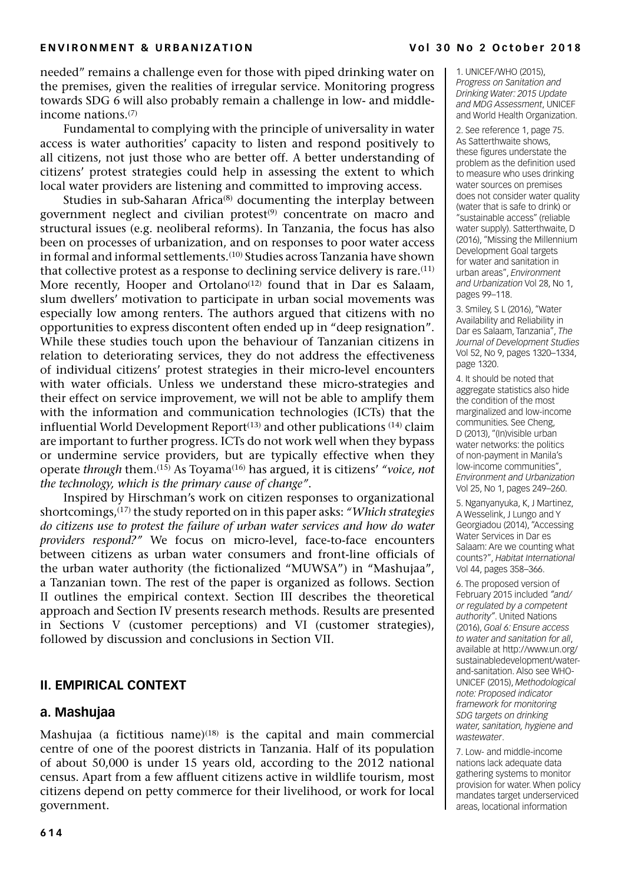needed" remains a challenge even for those with piped drinking water on the premises, given the realities of irregular service. Monitoring progress towards SDG 6 will also probably remain a challenge in low- and middleincome nations.(7)

Fundamental to complying with the principle of universality in water access is water authorities' capacity to listen and respond positively to all citizens, not just those who are better off. A better understanding of citizens' protest strategies could help in assessing the extent to which local water providers are listening and committed to improving access.

Studies in sub-Saharan Africa<sup>(8)</sup> documenting the interplay between government neglect and civilian protest<sup>(9)</sup> concentrate on macro and structural issues (e.g. neoliberal reforms). In Tanzania, the focus has also been on processes of urbanization, and on responses to poor water access in formal and informal settlements.<sup>(10)</sup> Studies across Tanzania have shown that collective protest as a response to declining service delivery is rare.<sup>(11)</sup> More recently, Hooper and Ortolano<sup>(12)</sup> found that in Dar es Salaam, slum dwellers' motivation to participate in urban social movements was especially low among renters. The authors argued that citizens with no opportunities to express discontent often ended up in "deep resignation". While these studies touch upon the behaviour of Tanzanian citizens in relation to deteriorating services, they do not address the effectiveness of individual citizens' protest strategies in their micro-level encounters with water officials. Unless we understand these micro-strategies and their effect on service improvement, we will not be able to amplify them with the information and communication technologies (ICTs) that the influential World Development Report $(13)$  and other publications  $(14)$  claim are important to further progress. ICTs do not work well when they bypass or undermine service providers, but are typically effective when they operate *through* them.(15) As Toyama(16) has argued, it is citizens' *"voice, not the technology, which is the primary cause of change"*.

Inspired by Hirschman's work on citizen responses to organizational shortcomings,(17) the study reported on in this paper asks: *"Which strategies do citizens use to protest the failure of urban water services and how do water providers respond?"* We focus on micro-level, face-to-face encounters between citizens as urban water consumers and front-line officials of the urban water authority (the fictionalized "MUWSA") in "Mashujaa", a Tanzanian town. The rest of the paper is organized as follows. Section II outlines the empirical context. Section III describes the theoretical approach and Section IV presents research methods. Results are presented in Sections V (customer perceptions) and VI (customer strategies), followed by discussion and conclusions in Section VII.

## **II. Empirical Context**

## **a. Mashujaa**

Mashujaa (a fictitious name)<sup>(18)</sup> is the capital and main commercial centre of one of the poorest districts in Tanzania. Half of its population of about 50,000 is under 15 years old, according to the 2012 national census. Apart from a few affluent citizens active in wildlife tourism, most citizens depend on petty commerce for their livelihood, or work for local government.

1. UNICEF/WHO (2015), *Progress on Sanitation and Drinking Water: 2015 Update and MDG Assessment*, UNICEF and World Health Organization.

2. See reference 1, page 75. As Satterthwaite shows, these figures understate the problem as the definition used to measure who uses drinking water sources on premises does not consider water quality (water that is safe to drink) or "sustainable access" (reliable water supply). Satterthwaite, D (2016), "Missing the Millennium Development Goal targets for water and sanitation in urban areas", *Environment and Urbanization* Vol 28, No 1, pages 99–118.

3. Smiley, S L (2016), "Water Availability and Reliability in Dar es Salaam, Tanzania", *The Journal of Development Studies* Vol 52, No 9, pages 1320–1334, page 1320.

4. It should be noted that aggregate statistics also hide the condition of the most marginalized and low-income communities. See Cheng, D (2013), "(In)visible urban water networks: the politics of non-payment in Manila's low-income communities", *Environment and Urbanization* Vol 25, No 1, pages 249–260.

5. Nganyanyuka, K, J Martinez, A Wesselink, J Lungo and Y Georgiadou (2014), "Accessing Water Services in Dar es Salaam: Are we counting what counts?", *Habitat International* Vol 44, pages 358–366.

6. The proposed version of February 2015 included *"and/ or regulated by a competent authority"*. United Nations (2016), *Goal 6: Ensure access to water and sanitation for all*, available at [http://www.un.org/](http://www.un.org/sustainabledevelopment/water-and-sanitation) [sustainabledevelopment/water](http://www.un.org/sustainabledevelopment/water-and-sanitation)[and-sanitation.](http://www.un.org/sustainabledevelopment/water-and-sanitation) Also see WHO-UNICEF (2015), *Methodological note: Proposed indicator framework for monitoring SDG targets on drinking water, sanitation, hygiene and wastewater*.

7. Low- and middle-income nations lack adequate data gathering systems to monitor provision for water. When policy mandates target underserviced areas, locational information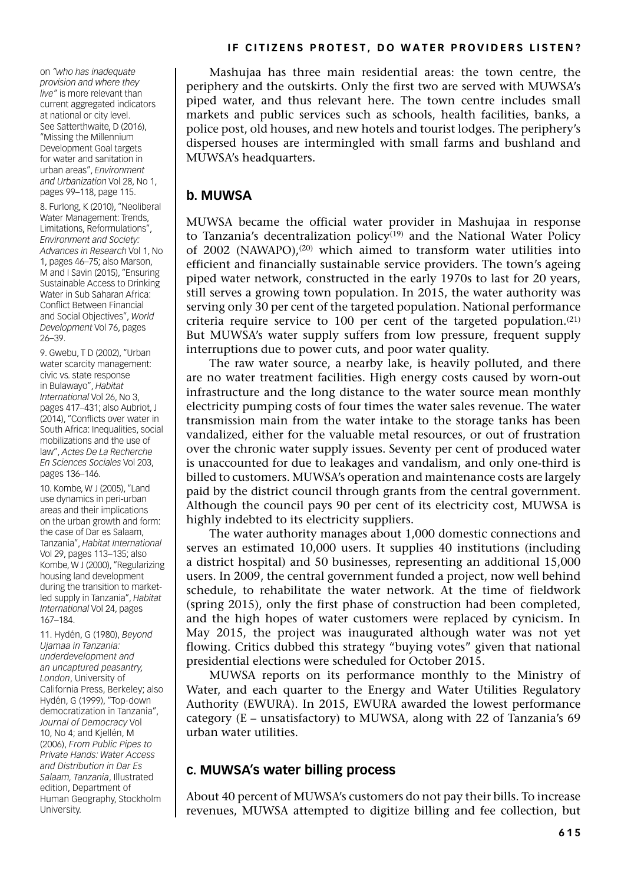on *"who has inadequate provision and where they live"* is more relevant than current aggregated indicators at national or city level. See Satterthwaite, D (2016), "Missing the Millennium Development Goal targets for water and sanitation in urban areas", *Environment and Urbanization* Vol 28, No 1, pages 99–118, page 115.

8. Furlong, K (2010), "Neoliberal Water Management: Trends, Limitations, Reformulations", *Environment and Society: Advances in Research* Vol 1, No 1, pages 46–75; also Marson, M and I Savin (2015), "Ensuring Sustainable Access to Drinking Water in Sub Saharan Africa: Conflict Between Financial and Social Objectives", *World Development* Vol 76, pages 26–39.

9. Gwebu, T D (2002), "Urban water scarcity management: civic vs. state response in Bulawayo", *Habitat International* Vol 26, No 3, pages 417–431; also Aubriot, J (2014), "Conflicts over water in South Africa: Inequalities, social mobilizations and the use of law", *Actes De La Recherche En Sciences Sociales* Vol 203, pages 136–146.

10. Kombe, W J (2005), "Land use dynamics in peri-urban areas and their implications on the urban growth and form: the case of Dar es Salaam, Tanzania", *Habitat International* Vol 29, pages 113–135; also Kombe, W J (2000), "Regularizing housing land development during the transition to marketled supply in Tanzania", *Habitat International* Vol 24, pages 167–184.

11. Hydén, G (1980), *Beyond Ujamaa in Tanzania: underdevelopment and an uncaptured peasantry, London*, University of California Press, Berkeley; also Hydén, G (1999), "Top-down democratization in Tanzania", *Journal of Democracy* Vol 10, No 4; and Kjellén, M (2006), *From Public Pipes to Private Hands: Water Access and Distribution in Dar Es Salaam, Tanzania*, Illustrated edition, Department of Human Geography, Stockholm University.

Mashujaa has three main residential areas: the town centre, the periphery and the outskirts. Only the first two are served with MUWSA's piped water, and thus relevant here. The town centre includes small markets and public services such as schools, health facilities, banks, a police post, old houses, and new hotels and tourist lodges. The periphery's dispersed houses are intermingled with small farms and bushland and MUWSA's headquarters.

# **b. MUWSA**

MUWSA became the official water provider in Mashujaa in response to Tanzania's decentralization policy<sup> $(19)$ </sup> and the National Water Policy of 2002 (NAWAPO),<sup>(20)</sup> which aimed to transform water utilities into efficient and financially sustainable service providers. The town's ageing piped water network, constructed in the early 1970s to last for 20 years, still serves a growing town population. In 2015, the water authority was serving only 30 per cent of the targeted population. National performance criteria require service to 100 per cent of the targeted population.<sup> $(21)$ </sup> But MUWSA's water supply suffers from low pressure, frequent supply interruptions due to power cuts, and poor water quality.

The raw water source, a nearby lake, is heavily polluted, and there are no water treatment facilities. High energy costs caused by worn-out infrastructure and the long distance to the water source mean monthly electricity pumping costs of four times the water sales revenue. The water transmission main from the water intake to the storage tanks has been vandalized, either for the valuable metal resources, or out of frustration over the chronic water supply issues. Seventy per cent of produced water is unaccounted for due to leakages and vandalism, and only one-third is billed to customers. MUWSA's operation and maintenance costs are largely paid by the district council through grants from the central government. Although the council pays 90 per cent of its electricity cost, MUWSA is highly indebted to its electricity suppliers.

The water authority manages about 1,000 domestic connections and serves an estimated 10,000 users. It supplies 40 institutions (including a district hospital) and 50 businesses, representing an additional 15,000 users. In 2009, the central government funded a project, now well behind schedule, to rehabilitate the water network. At the time of fieldwork (spring 2015), only the first phase of construction had been completed, and the high hopes of water customers were replaced by cynicism. In May 2015, the project was inaugurated although water was not yet flowing. Critics dubbed this strategy "buying votes" given that national presidential elections were scheduled for October 2015.

MUWSA reports on its performance monthly to the Ministry of Water, and each quarter to the Energy and Water Utilities Regulatory Authority (EWURA). In 2015, EWURA awarded the lowest performance category (E – unsatisfactory) to MUWSA, along with 22 of Tanzania's 69 urban water utilities.

# **c. MUWSA's water billing process**

About 40 percent of MUWSA's customers do not pay their bills. To increase revenues, MUWSA attempted to digitize billing and fee collection, but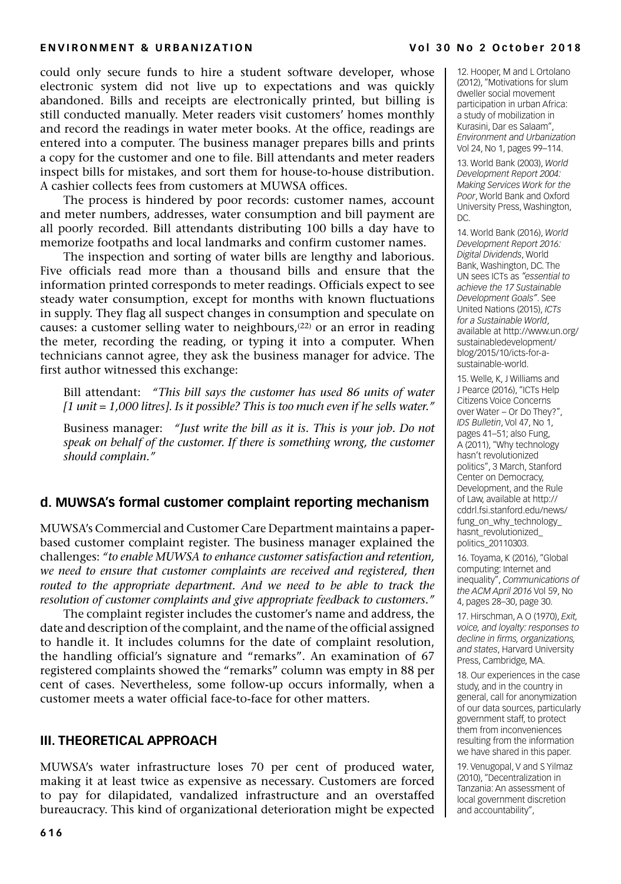could only secure funds to hire a student software developer, whose electronic system did not live up to expectations and was quickly abandoned. Bills and receipts are electronically printed, but billing is still conducted manually. Meter readers visit customers' homes monthly and record the readings in water meter books. At the office, readings are entered into a computer. The business manager prepares bills and prints a copy for the customer and one to file. Bill attendants and meter readers inspect bills for mistakes, and sort them for house-to-house distribution. A cashier collects fees from customers at MUWSA offices.

The process is hindered by poor records: customer names, account and meter numbers, addresses, water consumption and bill payment are all poorly recorded. Bill attendants distributing 100 bills a day have to memorize footpaths and local landmarks and confirm customer names.

The inspection and sorting of water bills are lengthy and laborious. Five officials read more than a thousand bills and ensure that the information printed corresponds to meter readings. Officials expect to see steady water consumption, except for months with known fluctuations in supply. They flag all suspect changes in consumption and speculate on causes: a customer selling water to neighbours,<sup>(22)</sup> or an error in reading the meter, recording the reading, or typing it into a computer. When technicians cannot agree, they ask the business manager for advice. The first author witnessed this exchange:

Bill attendant: *"This bill says the customer has used 86 units of water [1 unit = 1,000 litres]. Is it possible? This is too much even if he sells water."*

Business manager: *"Just write the bill as it is. This is your job. Do not speak on behalf of the customer. If there is something wrong, the customer should complain."*

# **d. MUWSA's formal customer complaint reporting mechanism**

MUWSA's Commercial and Customer Care Department maintains a paperbased customer complaint register. The business manager explained the challenges: *"to enable MUWSA to enhance customer satisfaction and retention, we need to ensure that customer complaints are received and registered, then*  routed to the appropriate department. And we need to be able to track the *resolution of customer complaints and give appropriate feedback to customers."*

The complaint register includes the customer's name and address, the date and description of the complaint, and the name of the official assigned to handle it. It includes columns for the date of complaint resolution, the handling official's signature and "remarks". An examination of 67 registered complaints showed the "remarks" column was empty in 88 per cent of cases. Nevertheless, some follow-up occurs informally, when a customer meets a water official face-to-face for other matters.

## **III. Theoretical Approach**

MUWSA's water infrastructure loses 70 per cent of produced water, making it at least twice as expensive as necessary. Customers are forced to pay for dilapidated, vandalized infrastructure and an overstaffed bureaucracy. This kind of organizational deterioration might be expected

12. Hooper, M and L Ortolano (2012), "Motivations for slum dweller social movement participation in urban Africa: a study of mobilization in Kurasini, Dar es Salaam", *Environment and Urbanization* Vol 24, No 1, pages 99–114.

13. World Bank (2003), *World Development Report 2004: Making Services Work for the Poor*, World Bank and Oxford University Press, Washington, DC.

14. World Bank (2016), *World Development Report 2016: Digital Dividends*, World Bank, Washington, DC. The UN sees ICTs as *"essential to achieve the 17 Sustainable Development Goals"*. See United Nations (2015), *ICTs for a Sustainable World*, available at [http://www.un.org/](http://www.un.org/sustainabledevelopment/blog/2015/10/icts-for-a-sustainable-world) [sustainabledevelopment/](http://www.un.org/sustainabledevelopment/blog/2015/10/icts-for-a-sustainable-world) [blog/2015/10/icts-for-a](http://www.un.org/sustainabledevelopment/blog/2015/10/icts-for-a-sustainable-world)[sustainable-world.](http://www.un.org/sustainabledevelopment/blog/2015/10/icts-for-a-sustainable-world)

15. Welle, K, J Williams and J Pearce (2016), "ICTs Help Citizens Voice Concerns over Water – Or Do They?", *IDS Bulletin*, Vol 47, No 1, pages 41–51; also Fung, A (2011), "Why technology hasn't revolutionized politics", 3 March, Stanford Center on Democracy, Development, and the Rule of Law, available at [http://](http://cddrl.fsi.stanford.edu/news/fung_on_why_technology_hasnt_revolutionized_politics_20110303) [cddrl.fsi.stanford.edu/news/](http://cddrl.fsi.stanford.edu/news/fung_on_why_technology_hasnt_revolutionized_politics_20110303) [fung\\_on\\_why\\_technology\\_](http://cddrl.fsi.stanford.edu/news/fung_on_why_technology_hasnt_revolutionized_politics_20110303) hasnt\_revolutionized [politics\\_20110303.](http://cddrl.fsi.stanford.edu/news/fung_on_why_technology_hasnt_revolutionized_politics_20110303)

16. Toyama, K (2016), "Global computing: Internet and inequality", *Communications of the ACM April 2016* Vol 59, No 4, pages 28–30, page 30.

17. Hirschman, A O (1970), *Exit, voice, and loyalty: responses to decline in firms, organizations, and states*, Harvard University Press, Cambridge, MA.

18. Our experiences in the case study, and in the country in general, call for anonymization of our data sources, particularly government staff, to protect them from inconveniences resulting from the information we have shared in this paper.

19. Venugopal, V and S Yilmaz (2010), "Decentralization in Tanzania: An assessment of local government discretion and accountability",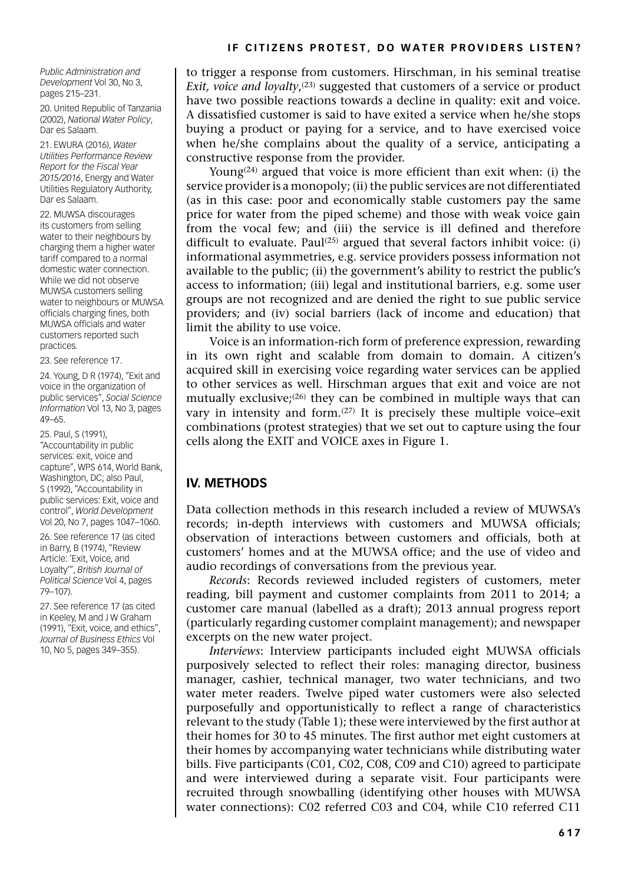*Public Administration and Development* Vol 30, No 3, pages 215–231.

20. United Republic of Tanzania (2002), *National Water Policy*, Dar es Salaam.

21. EWURA (2016), *Water Utilities Performance Review Report for the Fiscal Year 2015/2016*, Energy and Water Utilities Regulatory Authority, Dar es Salaam.

22. MUWSA discourages its customers from selling water to their neighbours by charging them a higher water tariff compared to a normal domestic water connection. While we did not observe MUWSA customers selling water to neighbours or MUWSA officials charging fines, both MUWSA officials and water customers reported such practices.

23. See reference 17.

24. Young, D R (1974), "Exit and voice in the organization of public services", *Social Science Information* Vol 13, No 3, pages 49–65.

25. Paul, S (1991), "Accountability in public services: exit, voice and capture", WPS 614, World Bank, Washington, DC; also Paul, S (1992), "Accountability in public services: Exit, voice and control", *World Development* Vol 20, No 7, pages 1047–1060.

26. See reference 17 (as cited in Barry, B (1974), "Review Article: 'Exit, Voice, and Loyalty'", *British Journal of Political Science* Vol 4, pages 79–107).

27. See reference 17 (as cited in Keeley, M and J W Graham (1991), "Exit, voice, and ethics", *Journal of Business Ethics* Vol 10, No 5, pages 349–355).

to trigger a response from customers. Hirschman, in his seminal treatise *Exit, voice and loyalty*,<sup>(23)</sup> suggested that customers of a service or product have two possible reactions towards a decline in quality: exit and voice. A dissatisfied customer is said to have exited a service when he/she stops buying a product or paying for a service, and to have exercised voice when he/she complains about the quality of a service, anticipating a constructive response from the provider.

Young<sup>(24)</sup> argued that voice is more efficient than exit when: (i) the service provider is a monopoly; (ii) the public services are not differentiated (as in this case: poor and economically stable customers pay the same price for water from the piped scheme) and those with weak voice gain from the vocal few; and (iii) the service is ill defined and therefore difficult to evaluate. Paul<sup>(25)</sup> argued that several factors inhibit voice: (i) informational asymmetries, e.g. service providers possess information not available to the public; (ii) the government's ability to restrict the public's access to information; (iii) legal and institutional barriers, e.g. some user groups are not recognized and are denied the right to sue public service providers; and (iv) social barriers (lack of income and education) that limit the ability to use voice.

Voice is an information-rich form of preference expression, rewarding in its own right and scalable from domain to domain. A citizen's acquired skill in exercising voice regarding water services can be applied to other services as well. Hirschman argues that exit and voice are not mutually exclusive; $(26)$  they can be combined in multiple ways that can vary in intensity and form.<sup>(27)</sup> It is precisely these multiple voice–exit combinations (protest strategies) that we set out to capture using the four cells along the EXIT and VOICE axes in Figure 1.

# **IV. Methods**

Data collection methods in this research included a review of MUWSA's records; in-depth interviews with customers and MUWSA officials; observation of interactions between customers and officials, both at customers' homes and at the MUWSA office; and the use of video and audio recordings of conversations from the previous year.

*Records*: Records reviewed included registers of customers, meter reading, bill payment and customer complaints from 2011 to 2014; a customer care manual (labelled as a draft); 2013 annual progress report (particularly regarding customer complaint management); and newspaper excerpts on the new water project.

*Interviews*: Interview participants included eight MUWSA officials purposively selected to reflect their roles: managing director, business manager, cashier, technical manager, two water technicians, and two water meter readers. Twelve piped water customers were also selected purposefully and opportunistically to reflect a range of characteristics relevant to the study (Table 1); these were interviewed by the first author at their homes for 30 to 45 minutes. The first author met eight customers at their homes by accompanying water technicians while distributing water bills. Five participants (C01, C02, C08, C09 and C10) agreed to participate and were interviewed during a separate visit. Four participants were recruited through snowballing (identifying other houses with MUWSA water connections): C02 referred C03 and C04, while C10 referred C11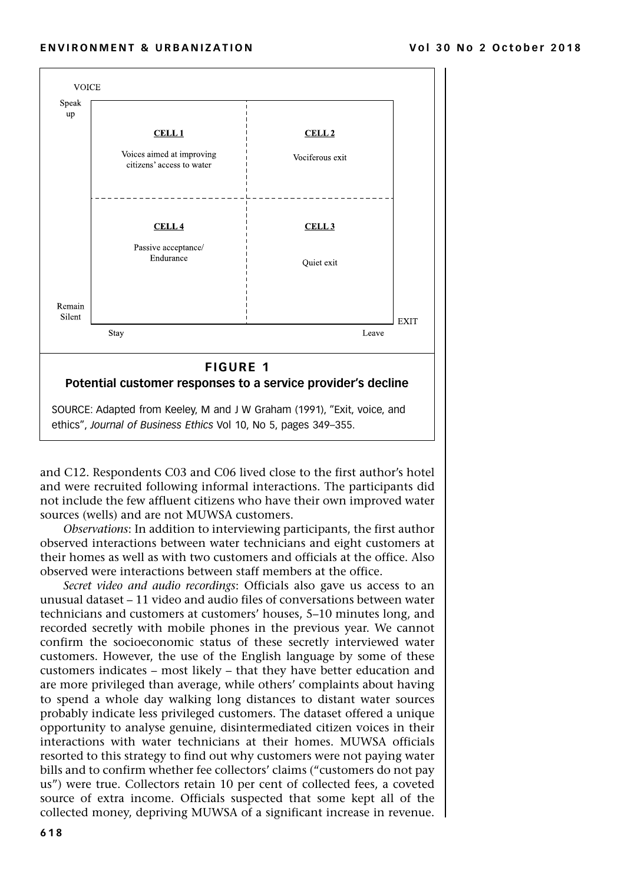

and C12. Respondents C03 and C06 lived close to the first author's hotel and were recruited following informal interactions. The participants did not include the few affluent citizens who have their own improved water sources (wells) and are not MUWSA customers.

*Observations*: In addition to interviewing participants, the first author observed interactions between water technicians and eight customers at their homes as well as with two customers and officials at the office. Also observed were interactions between staff members at the office.

*Secret video and audio recordings*: Officials also gave us access to an unusual dataset – 11 video and audio files of conversations between water technicians and customers at customers' houses, 5–10 minutes long, and recorded secretly with mobile phones in the previous year. We cannot confirm the socioeconomic status of these secretly interviewed water customers. However, the use of the English language by some of these customers indicates – most likely – that they have better education and are more privileged than average, while others' complaints about having to spend a whole day walking long distances to distant water sources probably indicate less privileged customers. The dataset offered a unique opportunity to analyse genuine, disintermediated citizen voices in their interactions with water technicians at their homes. MUWSA officials resorted to this strategy to find out why customers were not paying water bills and to confirm whether fee collectors' claims ("customers do not pay us") were true. Collectors retain 10 per cent of collected fees, a coveted source of extra income. Officials suspected that some kept all of the collected money, depriving MUWSA of a significant increase in revenue.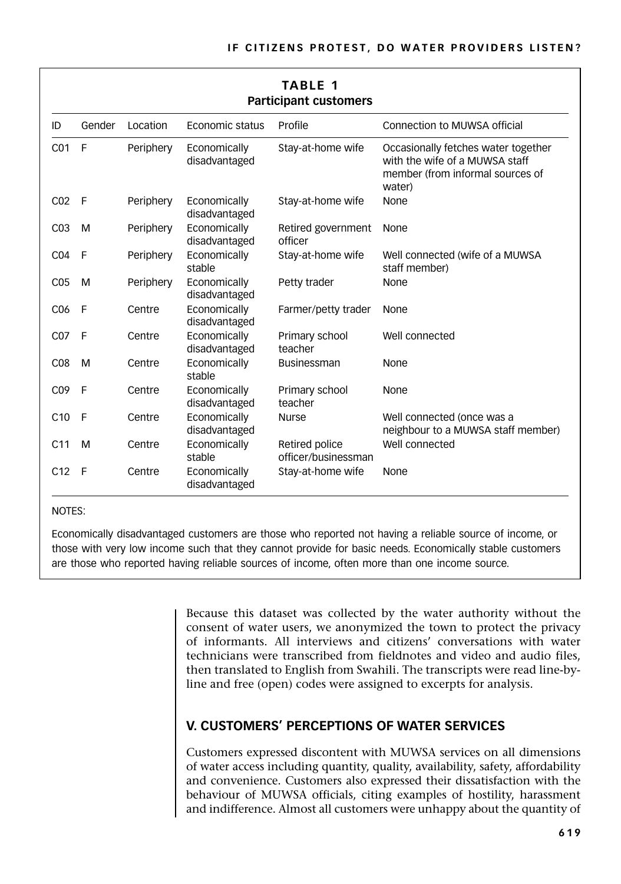| <b>TABLE 1</b><br><b>Participant customers</b> |        |           |                               |                                       |                                                                                                                     |
|------------------------------------------------|--------|-----------|-------------------------------|---------------------------------------|---------------------------------------------------------------------------------------------------------------------|
| ID                                             | Gender | Location  | Economic status               | Profile                               | Connection to MUWSA official                                                                                        |
| CO <sub>1</sub>                                | F      | Periphery | Economically<br>disadvantaged | Stay-at-home wife                     | Occasionally fetches water together<br>with the wife of a MUWSA staff<br>member (from informal sources of<br>water) |
| CO <sub>2</sub>                                | F      | Periphery | Economically<br>disadvantaged | Stay-at-home wife                     | None                                                                                                                |
| CO <sub>3</sub>                                | M      | Periphery | Economically<br>disadvantaged | Retired government<br>officer         | None                                                                                                                |
| CO <sub>4</sub>                                | F      | Periphery | Economically<br>stable        | Stay-at-home wife                     | Well connected (wife of a MUWSA<br>staff member)                                                                    |
| CO <sub>5</sub>                                | M      | Periphery | Economically<br>disadvantaged | Petty trader                          | None                                                                                                                |
| C <sub>06</sub>                                | F      | Centre    | Economically<br>disadvantaged | Farmer/petty trader                   | None                                                                                                                |
| C <sub>07</sub>                                | F      | Centre    | Economically<br>disadvantaged | Primary school<br>teacher             | Well connected                                                                                                      |
| C <sub>08</sub>                                | M      | Centre    | Economically<br>stable        | <b>Businessman</b>                    | None                                                                                                                |
| C <sub>09</sub>                                | F      | Centre    | Economically<br>disadvantaged | Primary school<br>teacher             | None                                                                                                                |
| C <sub>10</sub>                                | F      | Centre    | Economically<br>disadvantaged | <b>Nurse</b>                          | Well connected (once was a<br>neighbour to a MUWSA staff member)                                                    |
| C <sub>11</sub>                                | M      | Centre    | Economically<br>stable        | Retired police<br>officer/businessman | Well connected                                                                                                      |
| C12                                            | F      | Centre    | Economically<br>disadvantaged | Stay-at-home wife                     | None                                                                                                                |

## NOTES:

Economically disadvantaged customers are those who reported not having a reliable source of income, or those with very low income such that they cannot provide for basic needs. Economically stable customers are those who reported having reliable sources of income, often more than one income source.

> Because this dataset was collected by the water authority without the consent of water users, we anonymized the town to protect the privacy of informants. All interviews and citizens' conversations with water technicians were transcribed from fieldnotes and video and audio files, then translated to English from Swahili. The transcripts were read line-byline and free (open) codes were assigned to excerpts for analysis.

# **V. Customers' Perceptions of Water Services**

Customers expressed discontent with MUWSA services on all dimensions of water access including quantity, quality, availability, safety, affordability and convenience. Customers also expressed their dissatisfaction with the behaviour of MUWSA officials, citing examples of hostility, harassment and indifference. Almost all customers were unhappy about the quantity of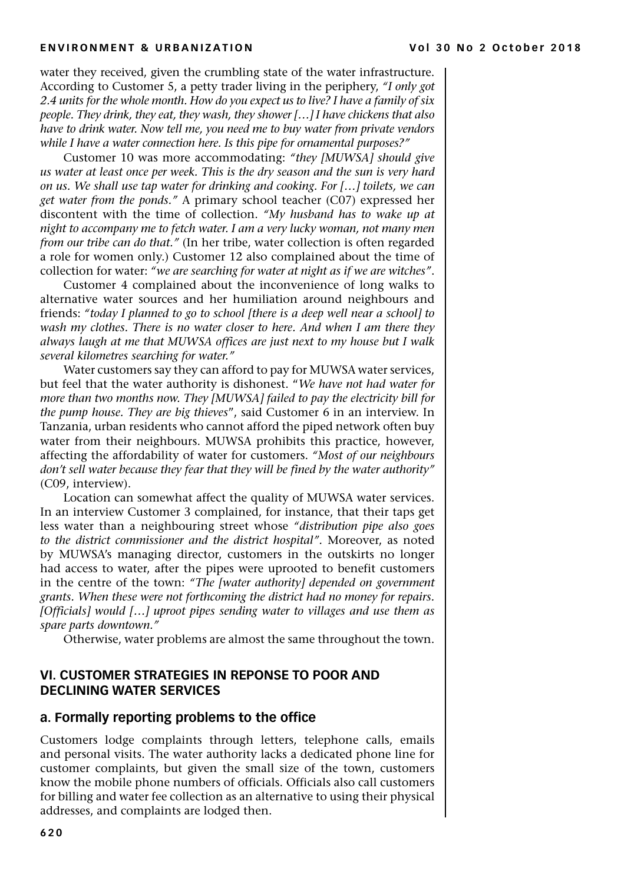water they received, given the crumbling state of the water infrastructure. According to Customer 5, a petty trader living in the periphery, *"I only got 2.4 units for the whole month. How do you expect us to live? I have a family of six people. They drink, they eat, they wash, they shower […] I have chickens that also have to drink water. Now tell me, you need me to buy water from private vendors while I have a water connection here. Is this pipe for ornamental purposes?"*

Customer 10 was more accommodating: *"they [MUWSA] should give us water at least once per week. This is the dry season and the sun is very hard on us. We shall use tap water for drinking and cooking. For […] toilets, we can get water from the ponds."* A primary school teacher (C07) expressed her discontent with the time of collection. *"My husband has to wake up at night to accompany me to fetch water. I am a very lucky woman, not many men from our tribe can do that."* (In her tribe, water collection is often regarded a role for women only.) Customer 12 also complained about the time of collection for water: *"we are searching for water at night as if we are witches"*.

Customer 4 complained about the inconvenience of long walks to alternative water sources and her humiliation around neighbours and friends: *"today I planned to go to school [there is a deep well near a school] to wash my clothes. There is no water closer to here. And when I am there they always laugh at me that MUWSA offices are just next to my house but I walk several kilometres searching for water."*

Water customers say they can afford to pay for MUWSA water services, but feel that the water authority is dishonest. "*We have not had water for more than two months now. They [MUWSA] failed to pay the electricity bill for the pump house. They are big thieves*", said Customer 6 in an interview. In Tanzania, urban residents who cannot afford the piped network often buy water from their neighbours. MUWSA prohibits this practice, however, affecting the affordability of water for customers. *"Most of our neighbours don't sell water because they fear that they will be fined by the water authority"* (C09, interview).

Location can somewhat affect the quality of MUWSA water services. In an interview Customer 3 complained, for instance, that their taps get less water than a neighbouring street whose *"distribution pipe also goes to the district commissioner and the district hospital".* Moreover, as noted by MUWSA's managing director, customers in the outskirts no longer had access to water, after the pipes were uprooted to benefit customers in the centre of the town: *"The [water authority] depended on government grants. When these were not forthcoming the district had no money for repairs. [Officials] would […] uproot pipes sending water to villages and use them as spare parts downtown."*

Otherwise, water problems are almost the same throughout the town.

## **VI. Customer Strategies in Reponse to Poor and Declining Water Services**

## **a. Formally reporting problems to the office**

Customers lodge complaints through letters, telephone calls, emails and personal visits. The water authority lacks a dedicated phone line for customer complaints, but given the small size of the town, customers know the mobile phone numbers of officials. Officials also call customers for billing and water fee collection as an alternative to using their physical addresses, and complaints are lodged then.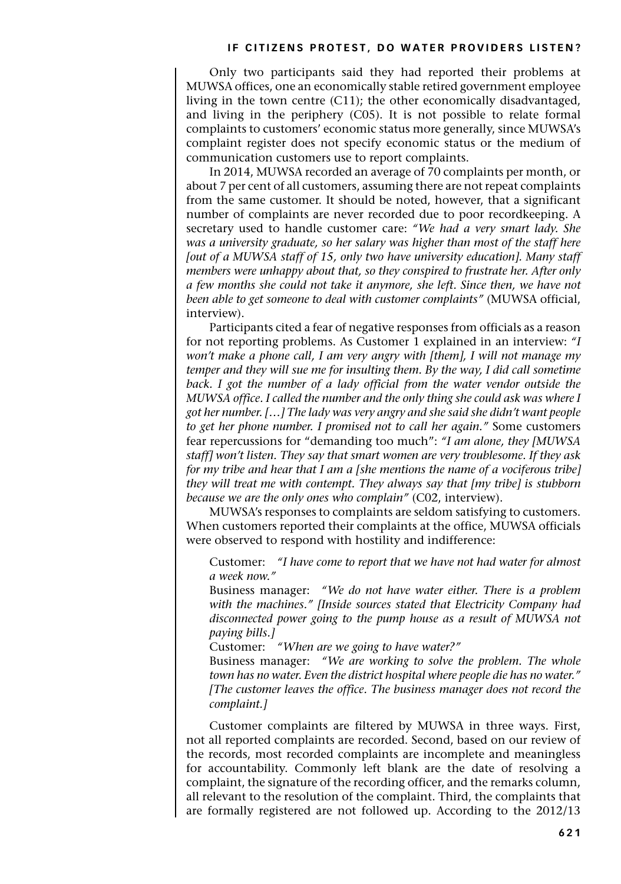Only two participants said they had reported their problems at MUWSA offices, one an economically stable retired government employee living in the town centre (C11); the other economically disadvantaged, and living in the periphery (C05). It is not possible to relate formal complaints to customers' economic status more generally, since MUWSA's complaint register does not specify economic status or the medium of communication customers use to report complaints.

In 2014, MUWSA recorded an average of 70 complaints per month, or about 7 per cent of all customers, assuming there are not repeat complaints from the same customer. It should be noted, however, that a significant number of complaints are never recorded due to poor recordkeeping. A secretary used to handle customer care: *"We had a very smart lady. She was a university graduate, so her salary was higher than most of the staff here [out of a MUWSA staff of 15, only two have university education]. Many staff members were unhappy about that, so they conspired to frustrate her. After only a few months she could not take it anymore, she left. Since then, we have not been able to get someone to deal with customer complaints"* (MUWSA official, interview).

Participants cited a fear of negative responses from officials as a reason for not reporting problems. As Customer 1 explained in an interview: *"I won't make a phone call, I am very angry with [them], I will not manage my temper and they will sue me for insulting them. By the way, I did call sometime*  back. I got the number of a lady official from the water vendor outside the *MUWSA office. I called the number and the only thing she could ask was where I got her number. […] The lady was very angry and she said she didn't want people to get her phone number. I promised not to call her again."* Some customers fear repercussions for "demanding too much": *"I am alone, they [MUWSA staff] won't listen. They say that smart women are very troublesome. If they ask for my tribe and hear that I am a [she mentions the name of a vociferous tribe] they will treat me with contempt. They always say that [my tribe] is stubborn because we are the only ones who complain"* (C02, interview).

MUWSA's responses to complaints are seldom satisfying to customers. When customers reported their complaints at the office, MUWSA officials were observed to respond with hostility and indifference:

Customer: *"I have come to report that we have not had water for almost a week now."*

Business manager: *"We do not have water either. There is a problem with the machines." [Inside sources stated that Electricity Company had disconnected power going to the pump house as a result of MUWSA not paying bills.]*

Customer: *"When are we going to have water?"*

Business manager: *"We are working to solve the problem. The whole town has no water. Even the district hospital where people die has no water." [The customer leaves the office. The business manager does not record the complaint.]*

Customer complaints are filtered by MUWSA in three ways. First, not all reported complaints are recorded. Second, based on our review of the records, most recorded complaints are incomplete and meaningless for accountability. Commonly left blank are the date of resolving a complaint, the signature of the recording officer, and the remarks column, all relevant to the resolution of the complaint. Third, the complaints that are formally registered are not followed up. According to the 2012/13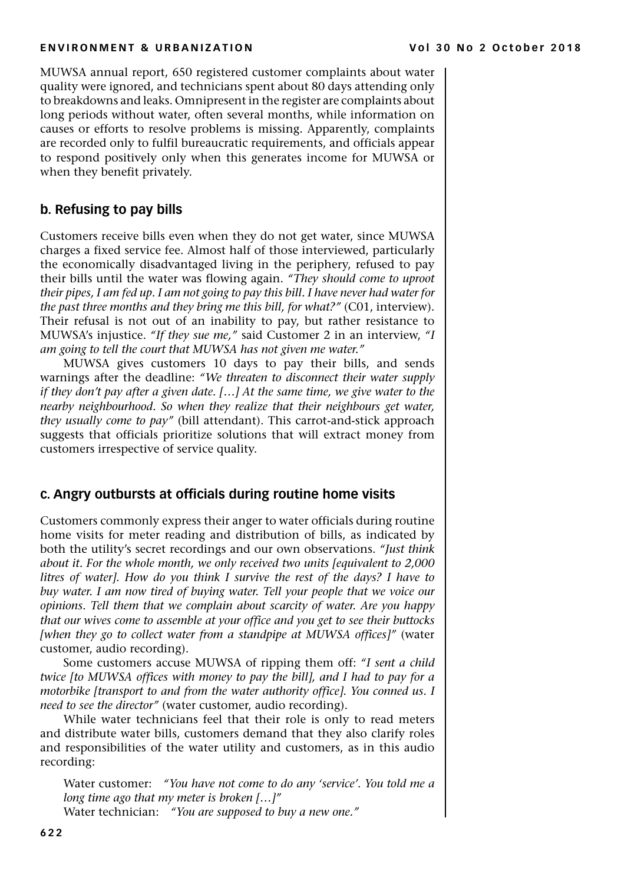MUWSA annual report, 650 registered customer complaints about water quality were ignored, and technicians spent about 80 days attending only to breakdowns and leaks. Omnipresent in the register are complaints about long periods without water, often several months, while information on causes or efforts to resolve problems is missing. Apparently, complaints are recorded only to fulfil bureaucratic requirements, and officials appear to respond positively only when this generates income for MUWSA or when they benefit privately.

## **b. Refusing to pay bills**

Customers receive bills even when they do not get water, since MUWSA charges a fixed service fee. Almost half of those interviewed, particularly the economically disadvantaged living in the periphery, refused to pay their bills until the water was flowing again. *"They should come to uproot their pipes, I am fed up. I am not going to pay this bill. I have never had water for the past three months and they bring me this bill, for what?"* (C01, interview). Their refusal is not out of an inability to pay, but rather resistance to MUWSA's injustice. *"If they sue me,"* said Customer 2 in an interview, *"I am going to tell the court that MUWSA has not given me water."*

MUWSA gives customers 10 days to pay their bills, and sends warnings after the deadline: *"We threaten to disconnect their water supply if they don't pay after a given date. […] At the same time, we give water to the nearby neighbourhood. So when they realize that their neighbours get water, they usually come to pay"* (bill attendant). This carrot-and-stick approach suggests that officials prioritize solutions that will extract money from customers irrespective of service quality.

## **c. Angry outbursts at officials during routine home visits**

Customers commonly express their anger to water officials during routine home visits for meter reading and distribution of bills, as indicated by both the utility's secret recordings and our own observations. *"Just think about it. For the whole month, we only received two units [equivalent to 2,000 litres of water]. How do you think I survive the rest of the days? I have to*  buy water. I am now tired of buying water. Tell your people that we voice our *opinions. Tell them that we complain about scarcity of water. Are you happy that our wives come to assemble at your office and you get to see their buttocks [when they go to collect water from a standpipe at MUWSA offices]"* (water customer, audio recording).

Some customers accuse MUWSA of ripping them off: *"I sent a child twice [to MUWSA offices with money to pay the bill], and I had to pay for a motorbike [transport to and from the water authority office]. You conned us. I need to see the director"* (water customer, audio recording).

While water technicians feel that their role is only to read meters and distribute water bills, customers demand that they also clarify roles and responsibilities of the water utility and customers, as in this audio recording:

Water customer: *"You have not come to do any 'service'. You told me a long time ago that my meter is broken […]"*

Water technician: *"You are supposed to buy a new one."*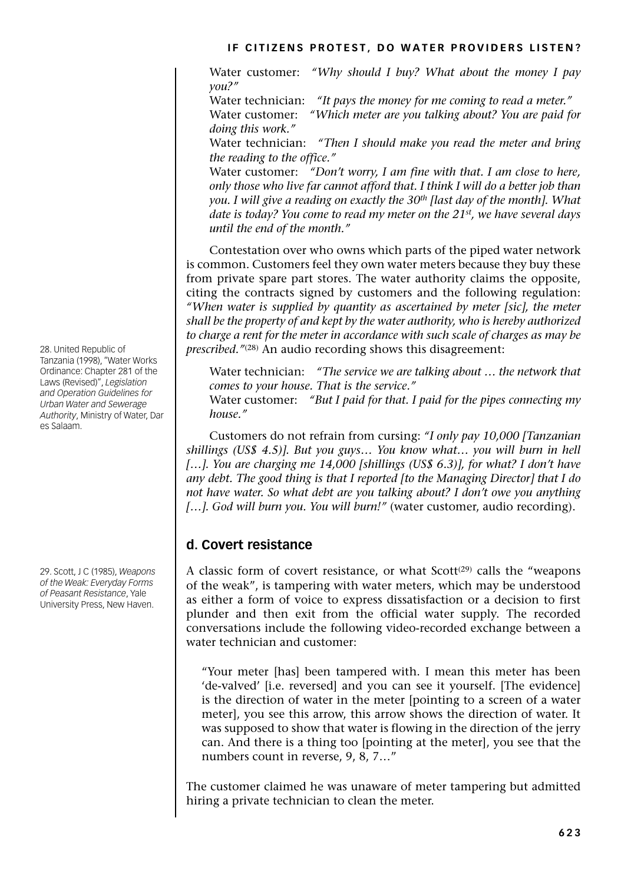Water customer: *"Why should I buy? What about the money I pay you?"*

Water technician: *"It pays the money for me coming to read a meter."* Water customer: *"Which meter are you talking about? You are paid for doing this work."*

Water technician: *"Then I should make you read the meter and bring the reading to the office."*

Water customer: *"Don't worry, I am fine with that. I am close to here, only those who live far cannot afford that. I think I will do a better job than you. I will give a reading on exactly the 30th [last day of the month]. What date is today? You come to read my meter on the 21st, we have several days until the end of the month."*

Contestation over who owns which parts of the piped water network is common. Customers feel they own water meters because they buy these from private spare part stores. The water authority claims the opposite, citing the contracts signed by customers and the following regulation: *"When water is supplied by quantity as ascertained by meter [sic], the meter shall be the property of and kept by the water authority, who is hereby authorized to charge a rent for the meter in accordance with such scale of charges as may be prescribed."*(28) An audio recording shows this disagreement:

Water technician: *"The service we are talking about … the network that comes to your house. That is the service."*

Water customer: *"But I paid for that. I paid for the pipes connecting my house."*

Customers do not refrain from cursing: *"I only pay 10,000 [Tanzanian shillings (US\$ 4.5)]. But you guys… You know what… you will burn in hell*  [...]. You are charging me 14,000 [shillings (US\$ 6.3)], for what? I don't have *any debt. The good thing is that I reported [to the Managing Director] that I do not have water. So what debt are you talking about? I don't owe you anything […]. God will burn you. You will burn!"* (water customer, audio recording).

# **d. Covert resistance**

A classic form of covert resistance, or what Scott<sup> $(29)$ </sup> calls the "weapons" of the weak", is tampering with water meters, which may be understood as either a form of voice to express dissatisfaction or a decision to first plunder and then exit from the official water supply. The recorded conversations include the following video-recorded exchange between a water technician and customer:

"Your meter [has] been tampered with. I mean this meter has been 'de-valved' [i.e. reversed] and you can see it yourself. [The evidence] is the direction of water in the meter [pointing to a screen of a water meter], you see this arrow, this arrow shows the direction of water. It was supposed to show that water is flowing in the direction of the jerry can. And there is a thing too [pointing at the meter], you see that the numbers count in reverse, 9, 8, 7…"

The customer claimed he was unaware of meter tampering but admitted hiring a private technician to clean the meter.

28. United Republic of Tanzania (1998), "Water Works Ordinance: Chapter 281 of the Laws (Revised)", *Legislation and Operation Guidelines for Urban Water and Sewerage Authority*, Ministry of Water, Dar es Salaam.

29. Scott, J C (1985), *Weapons of the Weak: Everyday Forms of Peasant Resistance*, Yale University Press, New Haven.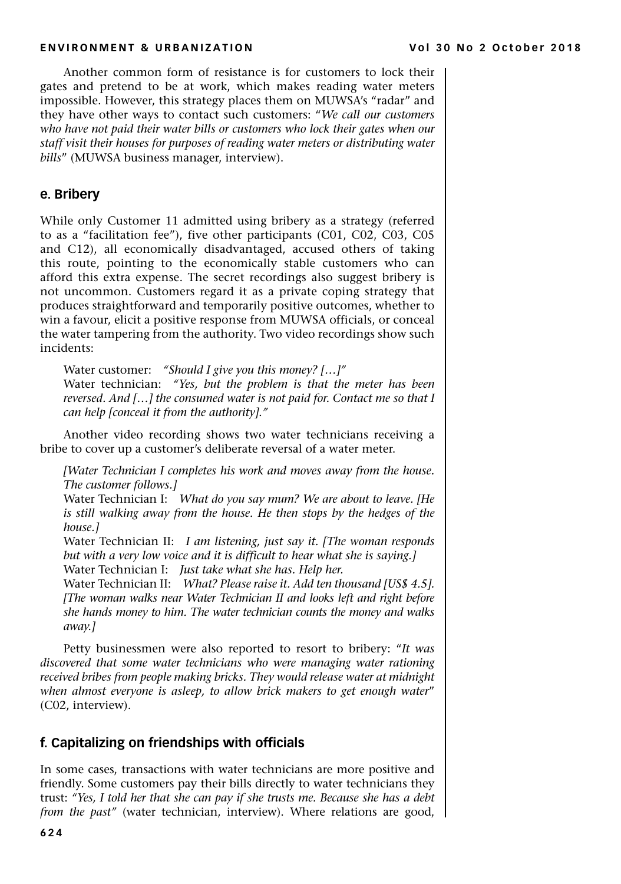Another common form of resistance is for customers to lock their gates and pretend to be at work, which makes reading water meters impossible. However, this strategy places them on MUWSA's "radar" and they have other ways to contact such customers: "*We call our customers*  who have not paid their water bills or customers who lock their gates when our *staff visit their houses for purposes of reading water meters or distributing water bills*" (MUWSA business manager, interview).

## **e. Bribery**

While only Customer 11 admitted using bribery as a strategy (referred to as a "facilitation fee"), five other participants (C01, C02, C03, C05 and C12), all economically disadvantaged, accused others of taking this route, pointing to the economically stable customers who can afford this extra expense. The secret recordings also suggest bribery is not uncommon. Customers regard it as a private coping strategy that produces straightforward and temporarily positive outcomes, whether to win a favour, elicit a positive response from MUWSA officials, or conceal the water tampering from the authority. Two video recordings show such incidents:

Water customer: *"Should I give you this money? […]"* Water technician: *"Yes, but the problem is that the meter has been reversed. And […] the consumed water is not paid for. Contact me so that I can help [conceal it from the authority]."*

Another video recording shows two water technicians receiving a bribe to cover up a customer's deliberate reversal of a water meter.

*[Water Technician I completes his work and moves away from the house. The customer follows.]*

Water Technician I: *What do you say mum? We are about to leave. [He is still walking away from the house. He then stops by the hedges of the house.]*

Water Technician II: *I am listening, just say it. [The woman responds but with a very low voice and it is difficult to hear what she is saying.]* Water Technician I: *Just take what she has. Help her.*

Water Technician II: *What? Please raise it. Add ten thousand [US\$ 4.5]. [The woman walks near Water Technician II and looks left and right before she hands money to him. The water technician counts the money and walks away.]*

Petty businessmen were also reported to resort to bribery: "*It was discovered that some water technicians who were managing water rationing received bribes from people making bricks. They would release water at midnight when almost everyone is asleep, to allow brick makers to get enough water*" (C02, interview).

## **f. Capitalizing on friendships with officials**

In some cases, transactions with water technicians are more positive and friendly. Some customers pay their bills directly to water technicians they trust: *"Yes, I told her that she can pay if she trusts me. Because she has a debt from the past"* (water technician, interview). Where relations are good,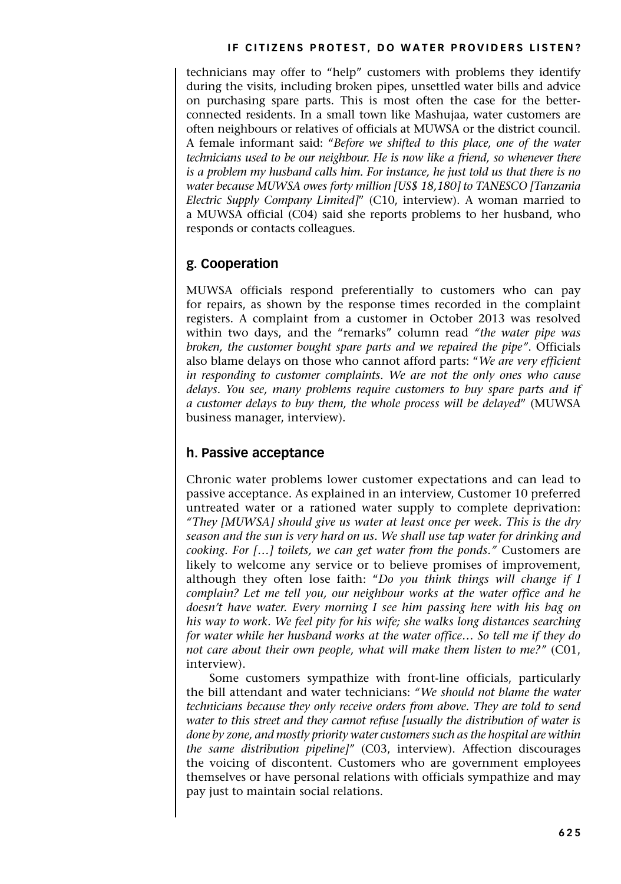technicians may offer to "help" customers with problems they identify during the visits, including broken pipes, unsettled water bills and advice on purchasing spare parts. This is most often the case for the betterconnected residents. In a small town like Mashujaa, water customers are often neighbours or relatives of officials at MUWSA or the district council. A female informant said: "*Before we shifted to this place, one of the water technicians used to be our neighbour. He is now like a friend, so whenever there is a problem my husband calls him. For instance, he just told us that there is no water because MUWSA owes forty million [US\$ 18,180] to TANESCO [Tanzania Electric Supply Company Limited]*" (C10, interview). A woman married to a MUWSA official (C04) said she reports problems to her husband, who responds or contacts colleagues.

# **g. Cooperation**

MUWSA officials respond preferentially to customers who can pay for repairs, as shown by the response times recorded in the complaint registers. A complaint from a customer in October 2013 was resolved within two days, and the "remarks" column read *"the water pipe was broken, the customer bought spare parts and we repaired the pipe"*. Officials also blame delays on those who cannot afford parts: "*We are very efficient in responding to customer complaints. We are not the only ones who cause delays. You see, many problems require customers to buy spare parts and if a customer delays to buy them, the whole process will be delayed*" (MUWSA business manager, interview).

# **h. Passive acceptance**

Chronic water problems lower customer expectations and can lead to passive acceptance. As explained in an interview, Customer 10 preferred untreated water or a rationed water supply to complete deprivation: *"They [MUWSA] should give us water at least once per week. This is the dry season and the sun is very hard on us. We shall use tap water for drinking and cooking. For […] toilets, we can get water from the ponds."* Customers are likely to welcome any service or to believe promises of improvement, although they often lose faith: "*Do you think things will change if I complain? Let me tell you, our neighbour works at the water office and he doesn't have water. Every morning I see him passing here with his bag on his way to work. We feel pity for his wife; she walks long distances searching for water while her husband works at the water office… So tell me if they do not care about their own people, what will make them listen to me?"* (C01, interview).

Some customers sympathize with front-line officials, particularly the bill attendant and water technicians: *"We should not blame the water technicians because they only receive orders from above. They are told to send water to this street and they cannot refuse [usually the distribution of water is done by zone, and mostly priority water customers such as the hospital are within the same distribution pipeline]"* (C03, interview). Affection discourages the voicing of discontent. Customers who are government employees themselves or have personal relations with officials sympathize and may pay just to maintain social relations.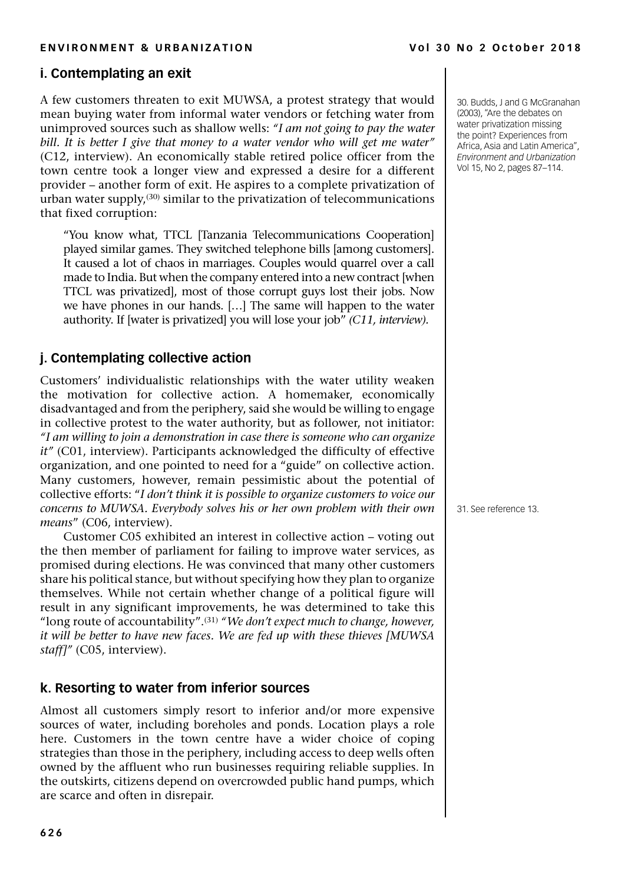# **i. Contemplating an exit**

A few customers threaten to exit MUWSA, a protest strategy that would mean buying water from informal water vendors or fetching water from unimproved sources such as shallow wells: *"I am not going to pay the water bill. It is better I give that money to a water vendor who will get me water"* (C12, interview). An economically stable retired police officer from the town centre took a longer view and expressed a desire for a different provider – another form of exit. He aspires to a complete privatization of urban water supply, $(30)$  similar to the privatization of telecommunications that fixed corruption:

"You know what, TTCL [Tanzania Telecommunications Cooperation] played similar games. They switched telephone bills [among customers]. It caused a lot of chaos in marriages. Couples would quarrel over a call made to India. But when the company entered into a new contract [when TTCL was privatized], most of those corrupt guys lost their jobs. Now we have phones in our hands. […] The same will happen to the water authority. If [water is privatized] you will lose your job" *(C11, interview).*

# **j. Contemplating collective action**

Customers' individualistic relationships with the water utility weaken the motivation for collective action. A homemaker, economically disadvantaged and from the periphery, said she would be willing to engage in collective protest to the water authority, but as follower, not initiator: *"I am willing to join a demonstration in case there is someone who can organize it"* (C01, interview). Participants acknowledged the difficulty of effective organization, and one pointed to need for a "guide" on collective action. Many customers, however, remain pessimistic about the potential of collective efforts: "*I don't think it is possible to organize customers to voice our concerns to MUWSA. Everybody solves his or her own problem with their own means*" (C06, interview).

Customer C05 exhibited an interest in collective action – voting out the then member of parliament for failing to improve water services, as promised during elections. He was convinced that many other customers share his political stance, but without specifying how they plan to organize themselves. While not certain whether change of a political figure will result in any significant improvements, he was determined to take this "long route of accountability".(31) *"We don't expect much to change, however, it will be better to have new faces. We are fed up with these thieves [MUWSA staff]"* (C05, interview).

# **k. Resorting to water from inferior sources**

Almost all customers simply resort to inferior and/or more expensive sources of water, including boreholes and ponds. Location plays a role here. Customers in the town centre have a wider choice of coping strategies than those in the periphery, including access to deep wells often owned by the affluent who run businesses requiring reliable supplies. In the outskirts, citizens depend on overcrowded public hand pumps, which are scarce and often in disrepair.

30. Budds, J and G McGranahan (2003), "Are the debates on water privatization missing the point? Experiences from Africa, Asia and Latin America", *Environment and Urbanization* Vol 15, No 2, pages 87–114.

31. See reference 13.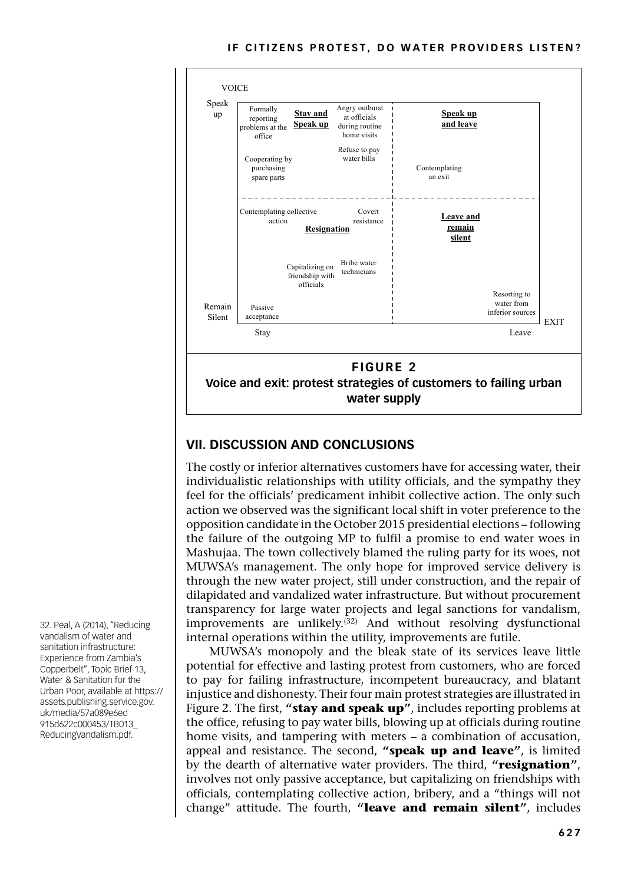

## **VII. Discussion and Conclusions**

The costly or inferior alternatives customers have for accessing water, their individualistic relationships with utility officials, and the sympathy they feel for the officials' predicament inhibit collective action. The only such action we observed was the significant local shift in voter preference to the opposition candidate in the October 2015 presidential elections – following the failure of the outgoing MP to fulfil a promise to end water woes in Mashujaa. The town collectively blamed the ruling party for its woes, not MUWSA's management. The only hope for improved service delivery is through the new water project, still under construction, and the repair of dilapidated and vandalized water infrastructure. But without procurement transparency for large water projects and legal sanctions for vandalism, improvements are unlikely.(32) And without resolving dysfunctional internal operations within the utility, improvements are futile.

MUWSA's monopoly and the bleak state of its services leave little potential for effective and lasting protest from customers, who are forced to pay for failing infrastructure, incompetent bureaucracy, and blatant injustice and dishonesty. Their four main protest strategies are illustrated in Figure 2. The first, **"stay and speak up"**, includes reporting problems at the office, refusing to pay water bills, blowing up at officials during routine home visits, and tampering with meters – a combination of accusation, appeal and resistance. The second, **"speak up and leave"**, is limited by the dearth of alternative water providers. The third, **"resignation"**, involves not only passive acceptance, but capitalizing on friendships with officials, contemplating collective action, bribery, and a "things will not change" attitude. The fourth, **"leave and remain silent"**, includes

32. Peal, A (2014), "Reducing vandalism of water and sanitation infrastructure: Experience from Zambia's Copperbelt", Topic Brief 13, Water & Sanitation for the Urban Poor, available at [https://](https://assets.publishing.service.gov.uk/media/57a089e6ed915d622c000453/TB013_ReducingVandalism.pdf) [assets.publishing.service.gov.](https://assets.publishing.service.gov.uk/media/57a089e6ed915d622c000453/TB013_ReducingVandalism.pdf) [uk/media/57a089e6ed](https://assets.publishing.service.gov.uk/media/57a089e6ed915d622c000453/TB013_ReducingVandalism.pdf) [915d622c000453/TB013\\_](https://assets.publishing.service.gov.uk/media/57a089e6ed915d622c000453/TB013_ReducingVandalism.pdf) [ReducingVandalism.pdf](https://assets.publishing.service.gov.uk/media/57a089e6ed915d622c000453/TB013_ReducingVandalism.pdf).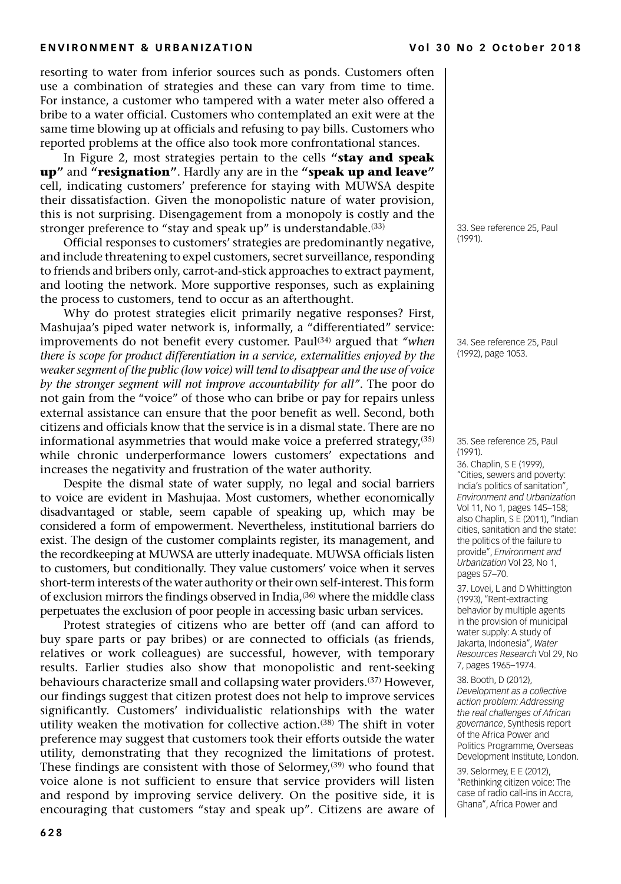resorting to water from inferior sources such as ponds. Customers often use a combination of strategies and these can vary from time to time. For instance, a customer who tampered with a water meter also offered a bribe to a water official. Customers who contemplated an exit were at the same time blowing up at officials and refusing to pay bills. Customers who reported problems at the office also took more confrontational stances.

In Figure 2, most strategies pertain to the cells **"stay and speak up"** and **"resignation"**. Hardly any are in the **"speak up and leave"** cell, indicating customers' preference for staying with MUWSA despite their dissatisfaction. Given the monopolistic nature of water provision, this is not surprising. Disengagement from a monopoly is costly and the stronger preference to "stay and speak up" is understandable.<sup>(33)</sup>

Official responses to customers' strategies are predominantly negative, and include threatening to expel customers, secret surveillance, responding to friends and bribers only, carrot-and-stick approaches to extract payment, and looting the network. More supportive responses, such as explaining the process to customers, tend to occur as an afterthought.

Why do protest strategies elicit primarily negative responses? First, Mashujaa's piped water network is, informally, a "differentiated" service: improvements do not benefit every customer. Paul<sup>(34)</sup> argued that "when *there is scope for product differentiation in a service, externalities enjoyed by the weaker segment of the public (low voice) will tend to disappear and the use of voice by the stronger segment will not improve accountability for all"*. The poor do not gain from the "voice" of those who can bribe or pay for repairs unless external assistance can ensure that the poor benefit as well. Second, both citizens and officials know that the service is in a dismal state. There are no informational asymmetries that would make voice a preferred strategy,(35) while chronic underperformance lowers customers' expectations and increases the negativity and frustration of the water authority.

Despite the dismal state of water supply, no legal and social barriers to voice are evident in Mashujaa. Most customers, whether economically disadvantaged or stable, seem capable of speaking up, which may be considered a form of empowerment. Nevertheless, institutional barriers do exist. The design of the customer complaints register, its management, and the recordkeeping at MUWSA are utterly inadequate. MUWSA officials listen to customers, but conditionally. They value customers' voice when it serves short-term interests of the water authority or their own self-interest. This form of exclusion mirrors the findings observed in India,(36) where the middle class perpetuates the exclusion of poor people in accessing basic urban services.

Protest strategies of citizens who are better off (and can afford to buy spare parts or pay bribes) or are connected to officials (as friends, relatives or work colleagues) are successful, however, with temporary results. Earlier studies also show that monopolistic and rent-seeking behaviours characterize small and collapsing water providers.(37) However, our findings suggest that citizen protest does not help to improve services significantly. Customers' individualistic relationships with the water utility weaken the motivation for collective action.(38) The shift in voter preference may suggest that customers took their efforts outside the water utility, demonstrating that they recognized the limitations of protest. These findings are consistent with those of Selormey, $(39)$  who found that voice alone is not sufficient to ensure that service providers will listen and respond by improving service delivery. On the positive side, it is encouraging that customers "stay and speak up". Citizens are aware of 33. See reference 25, Paul (1991).

34. See reference 25, Paul (1992), page 1053.

35. See reference 25, Paul (1991).

36. Chaplin, S E (1999), "Cities, sewers and poverty: India's politics of sanitation", *Environment and Urbanization* Vol 11, No 1, pages 145–158; also Chaplin, S E (2011), "Indian cities, sanitation and the state: the politics of the failure to provide", *Environment and Urbanization* Vol 23, No 1, pages 57–70.

37. Lovei, L and D Whittington (1993), "Rent-extracting behavior by multiple agents in the provision of municipal water supply: A study of Jakarta, Indonesia", *Water Resources Research* Vol 29, No 7, pages 1965–1974.

38. Booth, D (2012), *Development as a collective action problem: Addressing the real challenges of African governance*, Synthesis report of the Africa Power and Politics Programme, Overseas Development Institute, London.

39. Selormey, E E (2012), "Rethinking citizen voice: The case of radio call-ins in Accra, Ghana", Africa Power and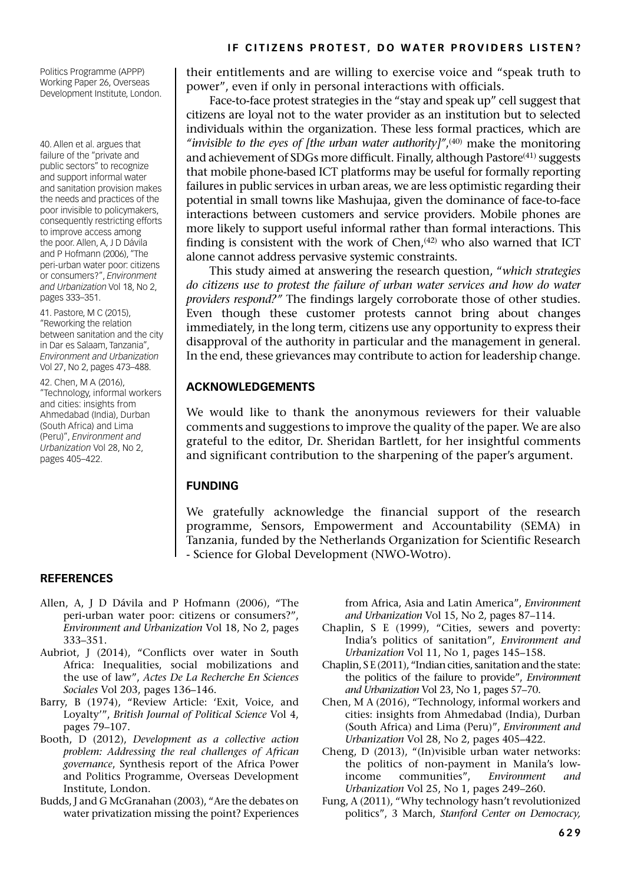Politics Programme (APPP) Working Paper 26, Overseas Development Institute, London.

40. Allen et al. argues that failure of the "private and public sectors" to recognize and support informal water and sanitation provision makes the needs and practices of the poor invisible to policymakers, consequently restricting efforts to improve access among the poor. Allen, A, J D Dávila and P Hofmann (2006), "The peri-urban water poor: citizens or consumers?", *Environment and Urbanization* Vol 18, No 2, pages 333–351.

41. Pastore, M C (2015), "Reworking the relation between sanitation and the city in Dar es Salaam, Tanzania", *Environment and Urbanization* Vol 27, No 2, pages 473–488.

42. Chen, M A (2016), "Technology, informal workers and cities: insights from Ahmedabad (India), Durban (South Africa) and Lima (Peru)", *Environment and Urbanization* Vol 28, No 2, pages 405–422.

their entitlements and are willing to exercise voice and "speak truth to power", even if only in personal interactions with officials.

Face-to-face protest strategies in the "stay and speak up" cell suggest that citizens are loyal not to the water provider as an institution but to selected individuals within the organization. These less formal practices, which are "*invisible to the eyes of [the urban water authority]*",<sup> $(40)$ </sup> make the monitoring and achievement of SDGs more difficult. Finally, although Pastore<sup>(41)</sup> suggests that mobile phone-based ICT platforms may be useful for formally reporting failures in public services in urban areas, we are less optimistic regarding their potential in small towns like Mashujaa, given the dominance of face-to-face interactions between customers and service providers. Mobile phones are more likely to support useful informal rather than formal interactions. This finding is consistent with the work of Chen, $(42)$  who also warned that ICT alone cannot address pervasive systemic constraints.

This study aimed at answering the research question, "*which strategies do citizens use to protest the failure of urban water services and how do water providers respond?"* The findings largely corroborate those of other studies. Even though these customer protests cannot bring about changes immediately, in the long term, citizens use any opportunity to express their disapproval of the authority in particular and the management in general. In the end, these grievances may contribute to action for leadership change.

## **ACKNOWLEDGEMENTS**

We would like to thank the anonymous reviewers for their valuable comments and suggestions to improve the quality of the paper. We are also grateful to the editor, Dr. Sheridan Bartlett, for her insightful comments and significant contribution to the sharpening of the paper's argument.

## **Funding**

We gratefully acknowledge the financial support of the research programme, Sensors, Empowerment and Accountability (SEMA) in Tanzania, funded by the Netherlands Organization for Scientific Research - Science for Global Development (NWO-Wotro).

## **References**

- Allen, A, J D Dávila and P Hofmann (2006), "The peri-urban water poor: citizens or consumers?", *Environment and Urbanization* Vol 18, No 2, pages 333–351.
- Aubriot, J (2014), "Conflicts over water in South Africa: Inequalities, social mobilizations and the use of law", *Actes De La Recherche En Sciences Sociales* Vol 203, pages 136–146.
- Barry, B (1974), "Review Article: 'Exit, Voice, and Loyalty'", *British Journal of Political Science* Vol 4, pages 79–107.
- Booth, D (2012), *Development as a collective action problem: Addressing the real challenges of African governance*, Synthesis report of the Africa Power and Politics Programme, Overseas Development Institute, London.
- Budds, J and G McGranahan (2003), "Are the debates on water privatization missing the point? Experiences

from Africa, Asia and Latin America", *Environment and Urbanization* Vol 15, No 2, pages 87–114.

- Chaplin, S E (1999), "Cities, sewers and poverty: India's politics of sanitation", *Environment and Urbanization* Vol 11, No 1, pages 145–158.
- Chaplin, S E (2011), "Indian cities, sanitation and the state: the politics of the failure to provide", *Environment and Urbanization* Vol 23, No 1, pages 57–70.
- Chen, M A (2016), "Technology, informal workers and cities: insights from Ahmedabad (India), Durban (South Africa) and Lima (Peru)", *Environment and Urbanization* Vol 28, No 2, pages 405–422.
- Cheng, D (2013), "(In)visible urban water networks: the politics of non-payment in Manila's lowincome communities", *Environment and Urbanization* Vol 25, No 1, pages 249–260.
- Fung, A (2011), "Why technology hasn't revolutionized politics", 3 March, *Stanford Center on Democracy,*